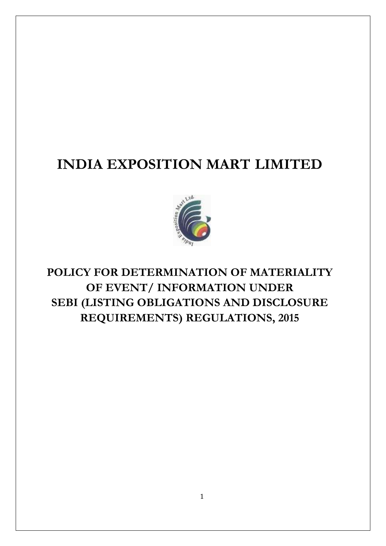# **INDIA EXPOSITION MART LIMITED**



**POLICY FOR DETERMINATION OF MATERIALITY OF EVENT/ INFORMATION UNDER SEBI (LISTING OBLIGATIONS AND DISCLOSURE REQUIREMENTS) REGULATIONS, 2015**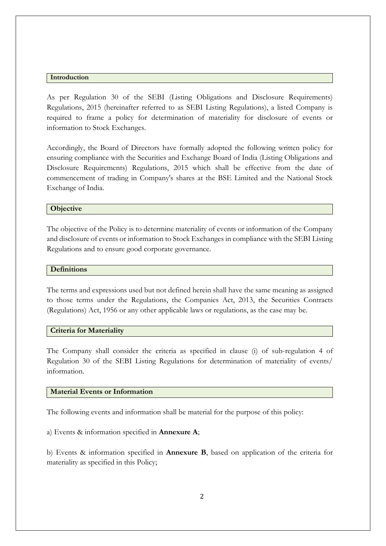#### **Introduction**

As per Regulation 30 of the SEBI (Listing Obligations and Disclosure Requirements) Regulations, 2015 (hereinafter referred to as SEBI Listing Regulations), a listed Company is required to frame a policy for determination of materiality for disclosure of events or information to Stock Exchanges.

Accordingly, the Board of Directors have formally adopted the following written policy for ensuring compliance with the Securities and Exchange Board of India (Listing Obligations and Disclosure Requirements) Regulations, 2015 which shall be effective from the date of commencement of trading in Company's shares at the BSE Limited and the National Stock Exchange of India.

#### **Objective**

The objective of the Policy is to determine materiality of events or information of the Company and disclosure of events or information to Stock Exchanges in compliance with the SEBI Listing Regulations and to ensure good corporate governance.

### **Definitions**

The terms and expressions used but not defined herein shall have the same meaning as assigned to those terms under the Regulations, the Companies Act, 2013, the Securities Contracts (Regulations) Act, 1956 or any other applicable laws or regulations, as the case may be.

#### **Criteria for Materiality**

The Company shall consider the criteria as specified in clause (i) of sub-regulation 4 of Regulation 30 of the SEBI Listing Regulations for determination of materiality of events/ information.

#### **Material Events or Information**

The following events and information shall be material for the purpose of this policy:

a) Events & information specified in **Annexure A**;

b) Events & information specified in **Annexure B**, based on application of the criteria for materiality as specified in this Policy;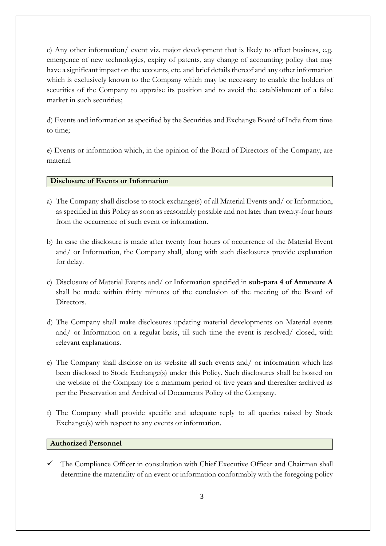c) Any other information/ event viz. major development that is likely to affect business, e.g. emergence of new technologies, expiry of patents, any change of accounting policy that may have a significant impact on the accounts, etc. and brief details thereof and any other information which is exclusively known to the Company which may be necessary to enable the holders of securities of the Company to appraise its position and to avoid the establishment of a false market in such securities;

d) Events and information as specified by the Securities and Exchange Board of India from time to time;

e) Events or information which, in the opinion of the Board of Directors of the Company, are material

## **Disclosure of Events or Information**

- a) The Company shall disclose to stock exchange(s) of all Material Events and/ or Information, as specified in this Policy as soon as reasonably possible and not later than twenty-four hours from the occurrence of such event or information.
- b) In case the disclosure is made after twenty four hours of occurrence of the Material Event and/ or Information, the Company shall, along with such disclosures provide explanation for delay.
- c) Disclosure of Material Events and/ or Information specified in **sub-para 4 of Annexure A** shall be made within thirty minutes of the conclusion of the meeting of the Board of Directors.
- d) The Company shall make disclosures updating material developments on Material events and/ or Information on a regular basis, till such time the event is resolved/ closed, with relevant explanations.
- e) The Company shall disclose on its website all such events and/ or information which has been disclosed to Stock Exchange(s) under this Policy. Such disclosures shall be hosted on the website of the Company for a minimum period of five years and thereafter archived as per the Preservation and Archival of Documents Policy of the Company.
- f) The Company shall provide specific and adequate reply to all queries raised by Stock Exchange(s) with respect to any events or information.

## **Authorized Personnel**

The Compliance Officer in consultation with Chief Executive Officer and Chairman shall determine the materiality of an event or information conformably with the foregoing policy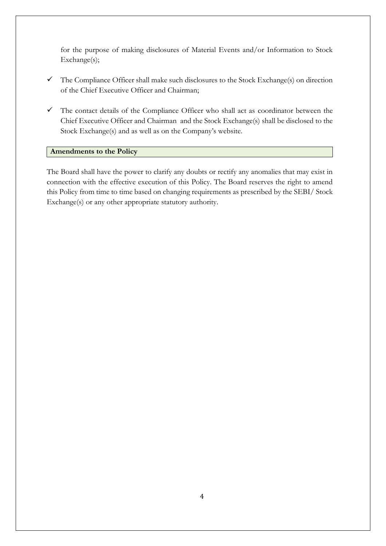for the purpose of making disclosures of Material Events and/or Information to Stock Exchange(s);

- $\checkmark$  The Compliance Officer shall make such disclosures to the Stock Exchange(s) on direction of the Chief Executive Officer and Chairman;
- $\checkmark$  The contact details of the Compliance Officer who shall act as coordinator between the Chief Executive Officer and Chairman and the Stock Exchange(s) shall be disclosed to the Stock Exchange(s) and as well as on the Company's website.

## **Amendments to the Policy**

The Board shall have the power to clarify any doubts or rectify any anomalies that may exist in connection with the effective execution of this Policy. The Board reserves the right to amend this Policy from time to time based on changing requirements as prescribed by the SEBI/ Stock Exchange(s) or any other appropriate statutory authority.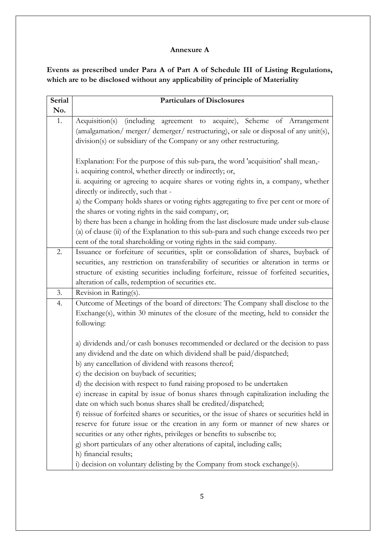## **Annexure A**

**Events as prescribed under Para A of Part A of Schedule III of Listing Regulations, which are to be disclosed without any applicability of principle of Materiality**

| <b>Serial</b> | <b>Particulars of Disclosures</b>                                                                                                                                                                                                      |
|---------------|----------------------------------------------------------------------------------------------------------------------------------------------------------------------------------------------------------------------------------------|
| No.           |                                                                                                                                                                                                                                        |
| 1.            | Acquisition(s) (including agreement to acquire), Scheme of Arrangement<br>(amalgamation/ merger/ demerger/ restructuring), or sale or disposal of any unit(s),<br>division(s) or subsidiary of the Company or any other restructuring. |
|               | Explanation: For the purpose of this sub-para, the word 'acquisition' shall mean,-<br>i. acquiring control, whether directly or indirectly; or,<br>ii. acquiring or agreeing to acquire shares or voting rights in, a company, whether |
|               | directly or indirectly, such that -                                                                                                                                                                                                    |
|               | a) the Company holds shares or voting rights aggregating to five per cent or more of                                                                                                                                                   |
|               | the shares or voting rights in the said company, or;                                                                                                                                                                                   |
|               | b) there has been a change in holding from the last disclosure made under sub-clause                                                                                                                                                   |
|               | (a) of clause (ii) of the Explanation to this sub-para and such change exceeds two per                                                                                                                                                 |
|               | cent of the total shareholding or voting rights in the said company.                                                                                                                                                                   |
| 2.            | Issuance or forfeiture of securities, split or consolidation of shares, buyback of                                                                                                                                                     |
|               | securities, any restriction on transferability of securities or alteration in terms or                                                                                                                                                 |
|               | structure of existing securities including forfeiture, reissue of forfeited securities,                                                                                                                                                |
| 3.            | alteration of calls, redemption of securities etc.                                                                                                                                                                                     |
|               | Revision in Rating(s).                                                                                                                                                                                                                 |
| 4.            | Outcome of Meetings of the board of directors: The Company shall disclose to the<br>Exchange(s), within 30 minutes of the closure of the meeting, held to consider the                                                                 |
|               | following:                                                                                                                                                                                                                             |
|               |                                                                                                                                                                                                                                        |
|               | a) dividends and/or cash bonuses recommended or declared or the decision to pass<br>any dividend and the date on which dividend shall be paid/dispatched;<br>b) any cancellation of dividend with reasons thereof;                     |
|               | c) the decision on buyback of securities;                                                                                                                                                                                              |
|               | d) the decision with respect to fund raising proposed to be undertaken                                                                                                                                                                 |
|               | e) increase in capital by issue of bonus shares through capitalization including the<br>date on which such bonus shares shall be credited/dispatched;                                                                                  |
|               | f) reissue of forfeited shares or securities, or the issue of shares or securities held in                                                                                                                                             |
|               | reserve for future issue or the creation in any form or manner of new shares or                                                                                                                                                        |
|               | securities or any other rights, privileges or benefits to subscribe to;                                                                                                                                                                |
|               | g) short particulars of any other alterations of capital, including calls;                                                                                                                                                             |
|               | h) financial results;                                                                                                                                                                                                                  |
|               | i) decision on voluntary delisting by the Company from stock exchange(s).                                                                                                                                                              |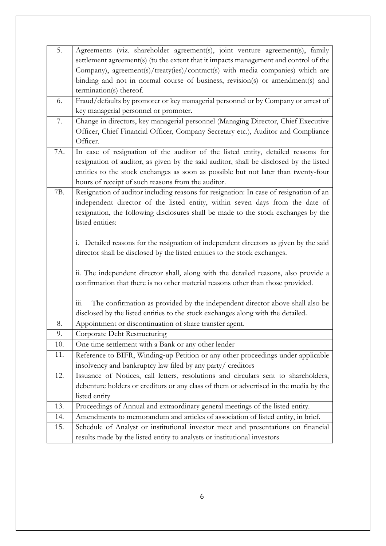| 5.  | Agreements (viz. shareholder agreement(s), joint venture agreement(s), family          |
|-----|----------------------------------------------------------------------------------------|
|     | settlement agreement(s) (to the extent that it impacts management and control of the   |
|     | Company), agreement(s)/treaty(ies)/contract(s) with media companies) which are         |
|     | binding and not in normal course of business, revision(s) or amendment(s) and          |
|     | termination(s) thereof.                                                                |
| 6.  | Fraud/defaults by promoter or key managerial personnel or by Company or arrest of      |
|     | key managerial personnel or promoter.                                                  |
| 7.  | Change in directors, key managerial personnel (Managing Director, Chief Executive      |
|     | Officer, Chief Financial Officer, Company Secretary etc.), Auditor and Compliance      |
|     | Officer.                                                                               |
| 7A. | In case of resignation of the auditor of the listed entity, detailed reasons for       |
|     | resignation of auditor, as given by the said auditor, shall be disclosed by the listed |
|     | entities to the stock exchanges as soon as possible but not later than twenty-four     |
|     | hours of receipt of such reasons from the auditor.                                     |
| 7B. | Resignation of auditor including reasons for resignation: In case of resignation of an |
|     | independent director of the listed entity, within seven days from the date of          |
|     | resignation, the following disclosures shall be made to the stock exchanges by the     |
|     | listed entities:                                                                       |
|     |                                                                                        |
|     | i. Detailed reasons for the resignation of independent directors as given by the said  |
|     | director shall be disclosed by the listed entities to the stock exchanges.             |
|     | ii. The independent director shall, along with the detailed reasons, also provide a    |
|     | confirmation that there is no other material reasons other than those provided.        |
|     |                                                                                        |
|     | The confirmation as provided by the independent director above shall also be<br>111.   |
|     | disclosed by the listed entities to the stock exchanges along with the detailed.       |
| 8.  | Appointment or discontinuation of share transfer agent.                                |
| 9.  | Corporate Debt Restructuring                                                           |
| 10. | One time settlement with a Bank or any other lender                                    |
| 11. | Reference to BIFR, Winding-up Petition or any other proceedings under applicable       |
|     | insolvency and bankruptcy law filed by any party/ creditors                            |
| 12. | Issuance of Notices, call letters, resolutions and circulars sent to shareholders,     |
|     | debenture holders or creditors or any class of them or advertised in the media by the  |
|     | listed entity                                                                          |
| 13. | Proceedings of Annual and extraordinary general meetings of the listed entity.         |
| 14. | Amendments to memorandum and articles of association of listed entity, in brief.       |
| 15. | Schedule of Analyst or institutional investor meet and presentations on financial      |
|     | results made by the listed entity to analysts or institutional investors               |